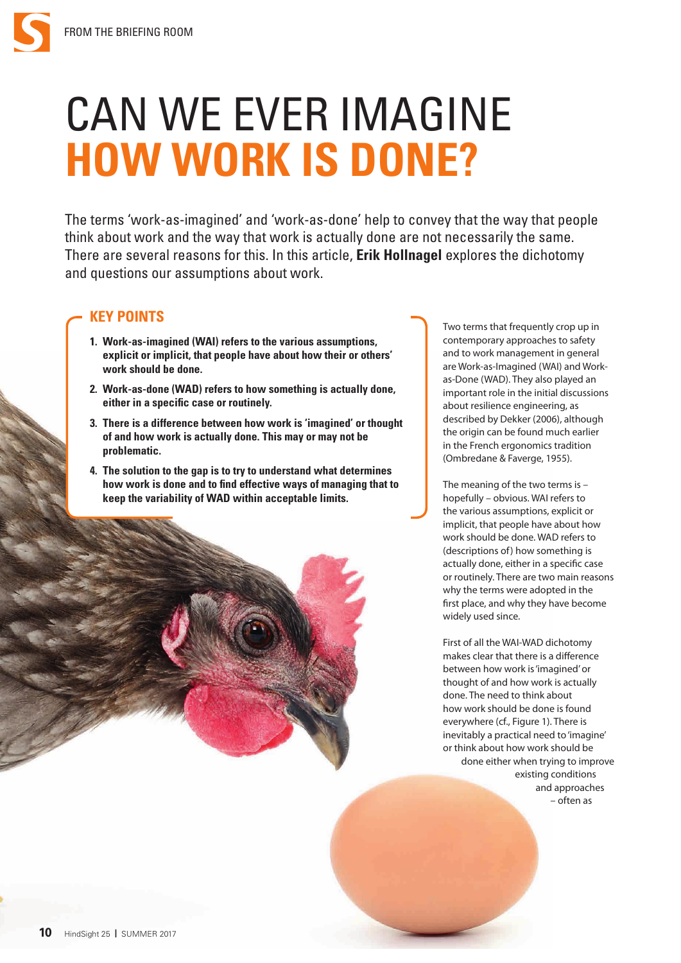# CAN WE EVER IMAGINE **HOW WORK IS DONE?**

The terms 'work-as-imagined' and 'work-as-done' help to convey that the way that people think about work and the way that work is actually done are not necessarily the same. There are several reasons for this. In this article, **Erik Hollnagel** explores the dichotomy and questions our assumptions about work.

## **KEY POINTS**

- **1. Work-as-imagined (WAI) refers to the various assumptions, explicit or implicit, that people have about how their or others' work should be done.**
- **2. Work-as-done (WAD) refers to how something is actually done, either in a specific case or routinely.**
- **3. There is a difference between how work is 'imagined' or thought of and how work is actually done. This may or may not be problematic.**
- **4. The solution to the gap is to try to understand what determines how work is done and to find effective ways of managing that to keep the variability of WAD within acceptable limits.**

Two terms that frequently crop up in contemporary approaches to safety and to work management in general are Work-as-Imagined (WAI) and Workas-Done (WAD). They also played an important role in the initial discussions about resilience engineering, as described by Dekker (2006), although the origin can be found much earlier in the French ergonomics tradition (Ombredane & Faverge, 1955).

The meaning of the two terms is – hopefully – obvious. WAI refers to the various assumptions, explicit or implicit, that people have about how work should be done. WAD refers to (descriptions of) how something is actually done, either in a specific case or routinely. There are two main reasons why the terms were adopted in the first place, and why they have become widely used since.

First of all the WAI-WAD dichotomy makes clear that there is a difference between how work is 'imagined' or thought of and how work is actually done. The need to think about how work should be done is found everywhere (cf., Figure 1). There is inevitably a practical need to 'imagine' or think about how work should be done either when trying to improve existing conditions and approaches – often as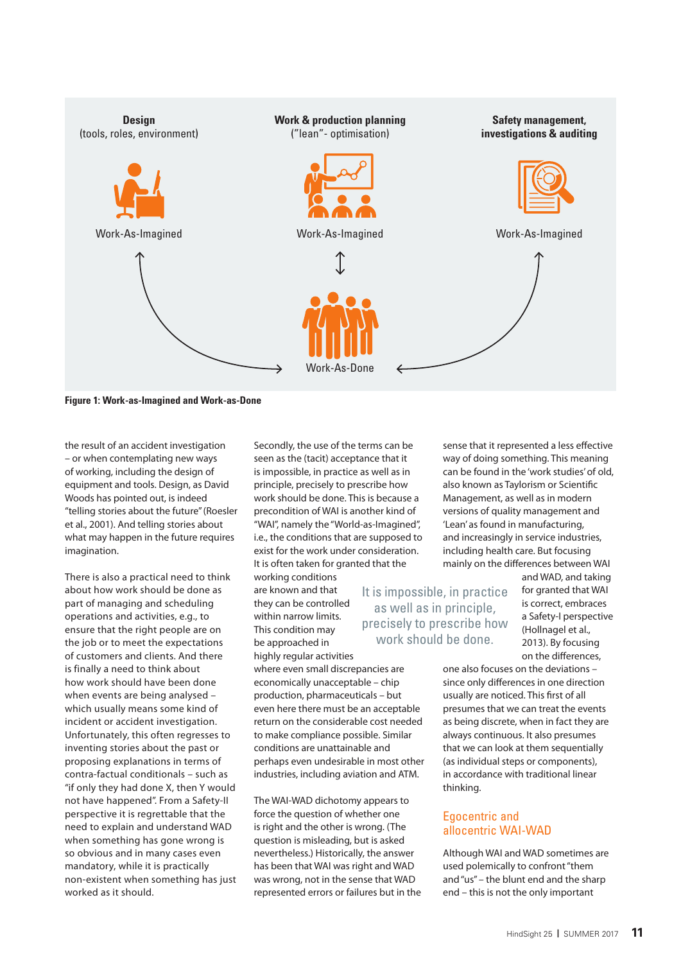

**Figure 1: Work-as-Imagined and Work-as-Done**

the result of an accident investigation – or when contemplating new ways of working, including the design of equipment and tools. Design, as David Woods has pointed out, is indeed "telling stories about the future" (Roesler et al., 2001). And telling stories about what may happen in the future requires imagination.

There is also a practical need to think about how work should be done as part of managing and scheduling operations and activities, e.g., to ensure that the right people are on the job or to meet the expectations of customers and clients. And there is finally a need to think about how work should have been done when events are being analysed – which usually means some kind of incident or accident investigation. Unfortunately, this often regresses to inventing stories about the past or proposing explanations in terms of contra-factual conditionals – such as "if only they had done X, then Y would not have happened". From a Safety-II perspective it is regrettable that the need to explain and understand WAD when something has gone wrong is so obvious and in many cases even mandatory, while it is practically non-existent when something has just worked as it should.

Secondly, the use of the terms can be seen as the (tacit) acceptance that it is impossible, in practice as well as in principle, precisely to prescribe how work should be done. This is because a precondition of WAI is another kind of "WAI", namely the "World-as-Imagined", i.e., the conditions that are supposed to exist for the work under consideration. It is often taken for granted that the working conditions

are known and that they can be controlled within narrow limits. This condition may be approached in highly regular activities

where even small discrepancies are economically unacceptable – chip production, pharmaceuticals – but even here there must be an acceptable return on the considerable cost needed to make compliance possible. Similar conditions are unattainable and perhaps even undesirable in most other industries, including aviation and ATM.

The WAI-WAD dichotomy appears to force the question of whether one is right and the other is wrong. (The question is misleading, but is asked nevertheless.) Historically, the answer has been that WAI was right and WAD was wrong, not in the sense that WAD represented errors or failures but in the way of doing something. This meaning can be found in the 'work studies' of old, also known as Taylorism or Scientific Management, as well as in modern versions of quality management and 'Lean' as found in manufacturing, and increasingly in service industries, including health care. But focusing mainly on the differences between WAI

sense that it represented a less effective

It is impossible, in practice as well as in principle, precisely to prescribe how work should be done.

and WAD, and taking for granted that WAI is correct, embraces a Safety-I perspective (Hollnagel et al., 2013). By focusing on the differences,

one also focuses on the deviations – since only differences in one direction usually are noticed. This first of all presumes that we can treat the events as being discrete, when in fact they are always continuous. It also presumes that we can look at them sequentially (as individual steps or components), in accordance with traditional linear thinking.

## Egocentric and allocentric WAI-WAD

Although WAI and WAD sometimes are used polemically to confront "them and "us" – the blunt end and the sharp end – this is not the only important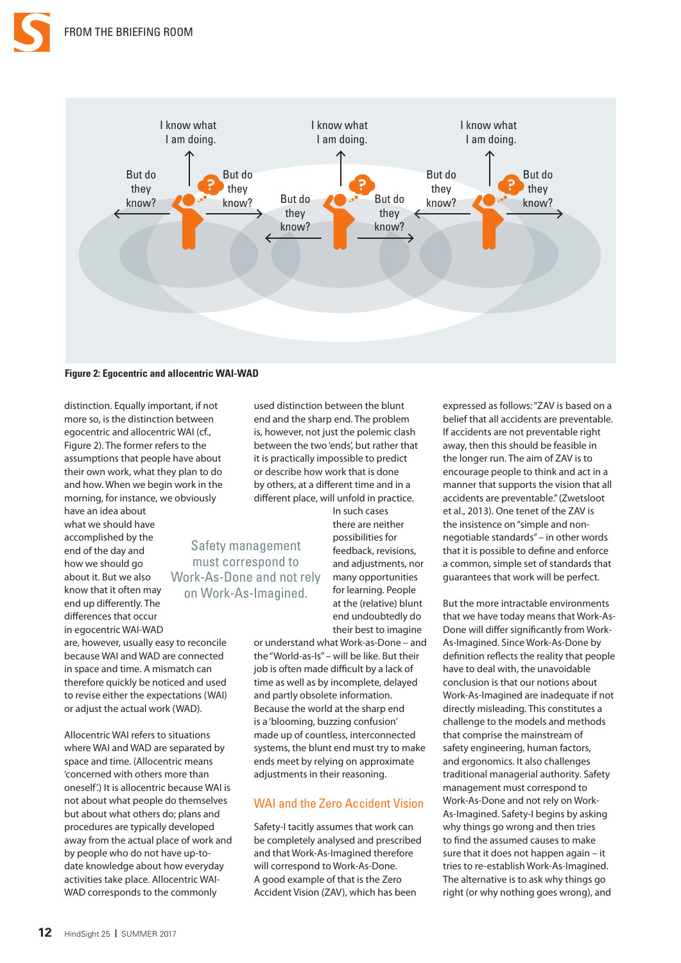

**Figure 2: Egocentric and allocentric WAI-WAD**

distinction. Equally important, if not more so, is the distinction between egocentric and allocentric WAI (cf., Figure 2). The former refers to the assumptions that people have about their own work, what they plan to do and how. When we begin work in the morning, for instance, we obviously

have an idea about

what we should have accomplished by the end of the day and how we should go about it. But we also know that it often may end up differently. The differences that occur in egocentric WAI-WAD are, however, usually easy to reconcile because WAI and WAD are connected in space and time. A mismatch can therefore quickly be noticed and used to revise either the expectations (WAI) or adjust the actual work (WAD). Safety management must correspond to Work-As-Done and not rely on Work-As-Imagined.

Allocentric WAI refers to situations where WAI and WAD are separated by space and time. (Allocentric means 'concerned with others more than oneself'.) It is allocentric because WAI is not about what people do themselves but about what others do; plans and procedures are typically developed away from the actual place of work and by people who do not have up-todate knowledge about how everyday activities take place. Allocentric WAI-WAD corresponds to the commonly

used distinction between the blunt end and the sharp end. The problem is, however, not just the polemic clash between the two 'ends', but rather that it is practically impossible to predict or describe how work that is done by others, at a different time and in a different place, will unfold in practice.

> In such cases there are neither possibilities for feedback, revisions, and adjustments, nor many opportunities for learning. People at the (relative) blunt end undoubtedly do their best to imagine

or understand what Work-as-Done – and the "World-as-Is" – will be like. But their job is often made difficult by a lack of time as well as by incomplete, delayed and partly obsolete information. Because the world at the sharp end is a 'blooming, buzzing confusion' made up of countless, interconnected systems, the blunt end must try to make ends meet by relying on approximate adjustments in their reasoning.

## WAI and the Zero Accident Vision

Safety-I tacitly assumes that work can be completely analysed and prescribed and that Work-As-Imagined therefore will correspond to Work-As-Done. A good example of that is the Zero Accident Vision (ZAV), which has been

expressed as follows: "ZAV is based on a belief that all accidents are preventable. If accidents are not preventable right away, then this should be feasible in the longer run. The aim of ZAV is to encourage people to think and act in a manner that supports the vision that all accidents are preventable." (Zwetsloot et al., 2013). One tenet of the ZAV is the insistence on "simple and nonnegotiable standards" – in other words that it is possible to define and enforce a common, simple set of standards that guarantees that work will be perfect.

But the more intractable environments that we have today means that Work-As-Done will differ significantly from Work-As-Imagined. Since Work-As-Done by definition reflects the reality that people have to deal with, the unavoidable conclusion is that our notions about Work-As-Imagined are inadequate if not directly misleading. This constitutes a challenge to the models and methods that comprise the mainstream of safety engineering, human factors, and ergonomics. It also challenges traditional managerial authority. Safety management must correspond to Work-As-Done and not rely on Work-As-Imagined. Safety-I begins by asking why things go wrong and then tries to find the assumed causes to make sure that it does not happen again – it tries to re-establish Work-As-Imagined. The alternative is to ask why things go right (or why nothing goes wrong), and